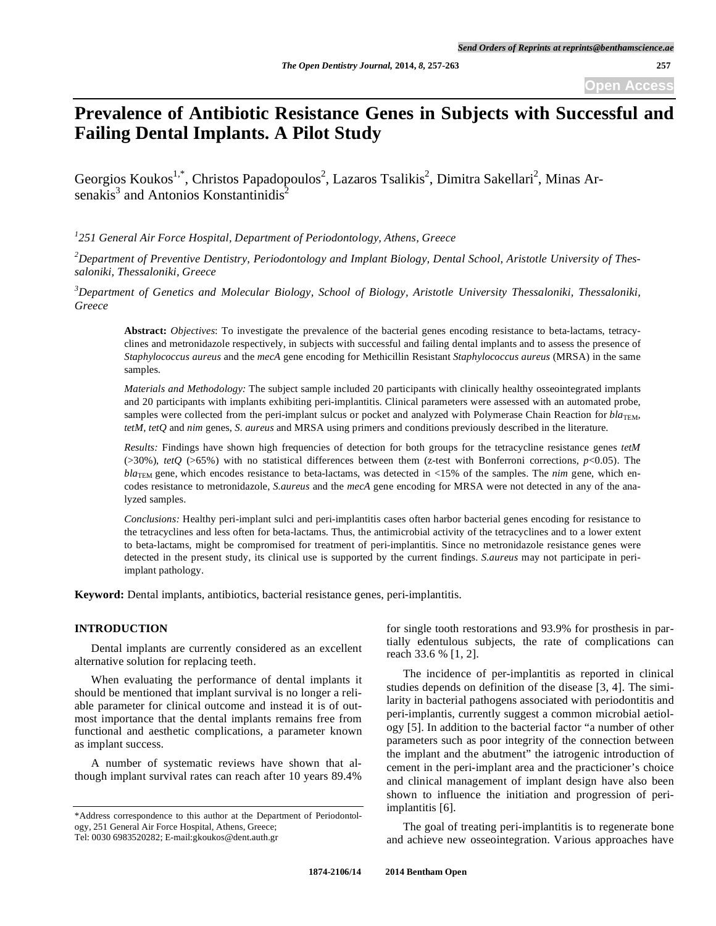# **Prevalence of Antibiotic Resistance Genes in Subjects with Successful and Failing Dental Implants. A Pilot Study**

Georgios Koukos<sup>1,\*</sup>, Christos Papadopoulos<sup>2</sup>, Lazaros Tsalikis<sup>2</sup>, Dimitra Sakellari<sup>2</sup>, Minas Arsenakis<sup>3</sup> and Antonios Konstantinidis<sup>2</sup>

*1 251 General Air Force Hospital, Department of Periodontology, Athens, Greece* 

*2 Department of Preventive Dentistry, Periodontology and Implant Biology, Dental School, Aristotle University of Thessaloniki, Thessaloniki, Greece* 

<sup>3</sup>Department of Genetics and Molecular Biology, School of Biology, Aristotle University Thessaloniki, Thessaloniki, *Greece* 

**Abstract:** *Objectives*: To investigate the prevalence of the bacterial genes encoding resistance to beta-lactams, tetracyclines and metronidazole respectively, in subjects with successful and failing dental implants and to assess the presence of *Staphylococcus aureus* and the *mecA* gene encoding for Methicillin Resistant *Staphylococcus aureus* (MRSA) in the same samples.

*Materials and Methodology:* The subject sample included 20 participants with clinically healthy osseointegrated implants and 20 participants with implants exhibiting peri-implantitis. Clinical parameters were assessed with an automated probe, samples were collected from the peri-implant sulcus or pocket and analyzed with Polymerase Chain Reaction for *bla*TEM<sub>*</sub>*,</sub> *tetM, tetQ* and *nim* genes, *S. aureus* and MRSA using primers and conditions previously described in the literature.

*Results:* Findings have shown high frequencies of detection for both groups for the tetracycline resistance genes *tetM* (>30%), *tetQ* (>65%) with no statistical differences between them (z-test with Bonferroni corrections, *p*<0.05). The *bla*<sub>TEM</sub> gene, which encodes resistance to beta-lactams, was detected in <15% of the samples. The *nim* gene, which encodes resistance to metronidazole, *S.aureus* and the *mecA* gene encoding for MRSA were not detected in any of the analyzed samples.

*Conclusions:* Healthy peri-implant sulci and peri-implantitis cases often harbor bacterial genes encoding for resistance to the tetracyclines and less often for beta-lactams. Thus, the antimicrobial activity of the tetracyclines and to a lower extent to beta-lactams, might be compromised for treatment of peri-implantitis. Since no metronidazole resistance genes were detected in the present study, its clinical use is supported by the current findings. *S.aureus* may not participate in periimplant pathology.

**Keyword:** Dental implants, antibiotics, bacterial resistance genes, peri-implantitis.

#### **INTRODUCTION**

Dental implants are currently considered as an excellent alternative solution for replacing teeth.

When evaluating the performance of dental implants it should be mentioned that implant survival is no longer a reliable parameter for clinical outcome and instead it is of outmost importance that the dental implants remains free from functional and aesthetic complications, a parameter known as implant success.

A number of systematic reviews have shown that although implant survival rates can reach after 10 years 89.4%

for single tooth restorations and 93.9% for prosthesis in partially edentulous subjects, the rate of complications can reach 33.6 % [1, 2].

The incidence of per-implantitis as reported in clinical studies depends on definition of the disease [3, 4]. The similarity in bacterial pathogens associated with periodontitis and peri-implantis, currently suggest a common microbial aetiology [5]. In addition to the bacterial factor "a number of other parameters such as poor integrity of the connection between the implant and the abutment" the iatrogenic introduction of cement in the peri-implant area and the practicioner's choice and clinical management of implant design have also been shown to influence the initiation and progression of periimplantitis [6].

The goal of treating peri-implantitis is to regenerate bone and achieve new osseointegration. Various approaches have

<sup>\*</sup>Address correspondence to this author at the Department of Periodontology, 251 General Air Force Hospital, Athens, Greece;

Tel: 0030 6983520282; E-mail:gkoukos@dent.auth.gr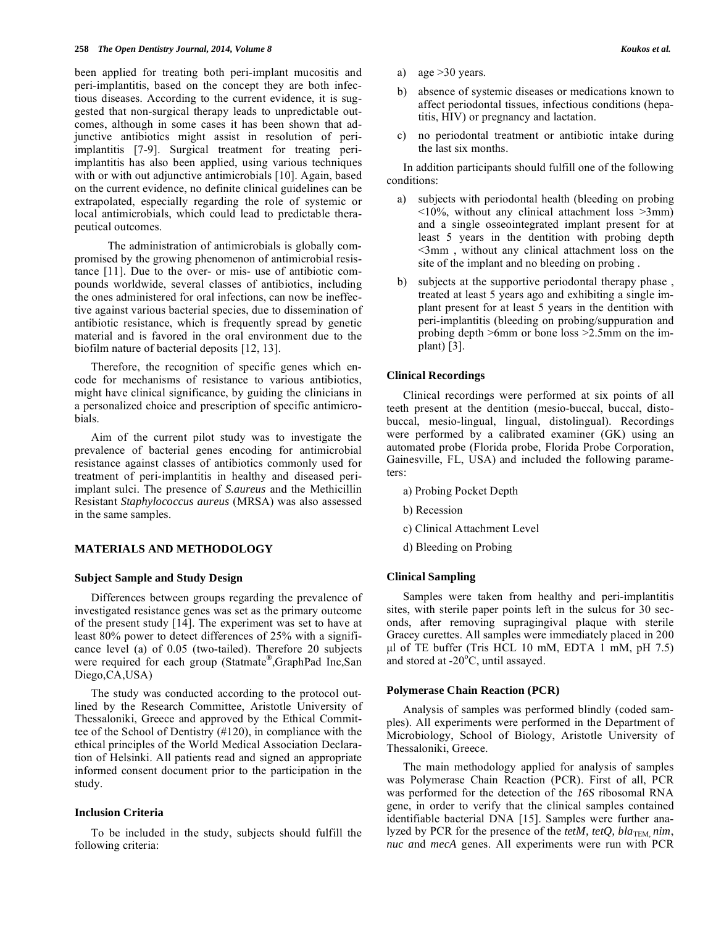been applied for treating both peri-implant mucositis and peri-implantitis, based on the concept they are both infectious diseases. According to the current evidence, it is suggested that non-surgical therapy leads to unpredictable outcomes, although in some cases it has been shown that adjunctive antibiotics might assist in resolution of periimplantitis [7-9]. Surgical treatment for treating periimplantitis has also been applied, using various techniques with or with out adjunctive antimicrobials [10]. Again, based on the current evidence, no definite clinical guidelines can be extrapolated, especially regarding the role of systemic or local antimicrobials, which could lead to predictable therapeutical outcomes.

 The administration of antimicrobials is globally compromised by the growing phenomenon of antimicrobial resistance [11]. Due to the over- or mis- use of antibiotic compounds worldwide, several classes of antibiotics, including the ones administered for oral infections, can now be ineffective against various bacterial species, due to dissemination of antibiotic resistance, which is frequently spread by genetic material and is favored in the oral environment due to the biofilm nature of bacterial deposits [12, 13].

Therefore, the recognition of specific genes which encode for mechanisms of resistance to various antibiotics, might have clinical significance, by guiding the clinicians in a personalized choice and prescription of specific antimicrobials.

Aim of the current pilot study was to investigate the prevalence of bacterial genes encoding for antimicrobial resistance against classes of antibiotics commonly used for treatment of peri-implantitis in healthy and diseased periimplant sulci. The presence of *S.aureus* and the Methicillin Resistant *Staphylococcus aureus* (MRSA) was also assessed in the same samples.

# **MATERIALS AND METHODOLOGY**

#### **Subject Sample and Study Design**

Differences between groups regarding the prevalence of investigated resistance genes was set as the primary outcome of the present study [14]. The experiment was set to have at least 80% power to detect differences of 25% with a significance level (a) of 0.05 (two-tailed). Therefore 20 subjects were required for each group (Statmate**®**,GraphPad Inc,San Diego,CA,USA)

The study was conducted according to the protocol outlined by the Research Committee, Aristotle University of Thessaloniki, Greece and approved by the Ethical Committee of the School of Dentistry (#120), in compliance with the ethical principles of the World Medical Association Declaration of Helsinki. All patients read and signed an appropriate informed consent document prior to the participation in the study.

#### **Inclusion Criteria**

To be included in the study, subjects should fulfill the following criteria:

- a) age  $>30$  years.
- b) absence of systemic diseases or medications known to affect periodontal tissues, infectious conditions (hepatitis, HIV) or pregnancy and lactation.
- c) no periodontal treatment or antibiotic intake during the last six months.

In addition participants should fulfill one of the following conditions:

- a) subjects with periodontal health (bleeding on probing  $\leq 10\%$ , without any clinical attachment loss  $\geq 3$ mm) and a single osseointegrated implant present for at least 5 years in the dentition with probing depth <3mm , without any clinical attachment loss on the site of the implant and no bleeding on probing .
- b) subjects at the supportive periodontal therapy phase , treated at least 5 years ago and exhibiting a single implant present for at least 5 years in the dentition with peri-implantitis (bleeding on probing/suppuration and probing depth >6mm or bone loss >2.5mm on the implant) [3].

#### **Clinical Recordings**

Clinical recordings were performed at six points of all teeth present at the dentition (mesio-buccal, buccal, distobuccal, mesio-lingual, lingual, distolingual). Recordings were performed by a calibrated examiner (GK) using an automated probe (Florida probe, Florida Probe Corporation, Gainesville, FL, USA) and included the following parameters:

- a) Probing Pocket Depth
- b) Recession
- c) Clinical Attachment Level
- d) Bleeding on Probing

#### **Clinical Sampling**

Samples were taken from healthy and peri-implantitis sites, with sterile paper points left in the sulcus for 30 seconds, after removing supragingival plaque with sterile Gracey curettes. All samples were immediately placed in 200 μl of TE buffer (Tris HCL 10 mM, EDTA 1 mM, pH 7.5) and stored at  $-20^{\circ}$ C, until assayed.

# **Polymerase Chain Reaction (PCR)**

Analysis of samples was performed blindly (coded samples). All experiments were performed in the Department of Microbiology, School of Biology, Aristotle University of Thessaloniki, Greece.

The main methodology applied for analysis of samples was Polymerase Chain Reaction (PCR). First of all, PCR was performed for the detection of the *16S* ribosomal RNA gene, in order to verify that the clinical samples contained identifiable bacterial DNA [15]. Samples were further analyzed by PCR for the presence of the *tetM, tetQ, bla*TEM, nim, *nuc a*nd *mecA* genes. All experiments were run with PCR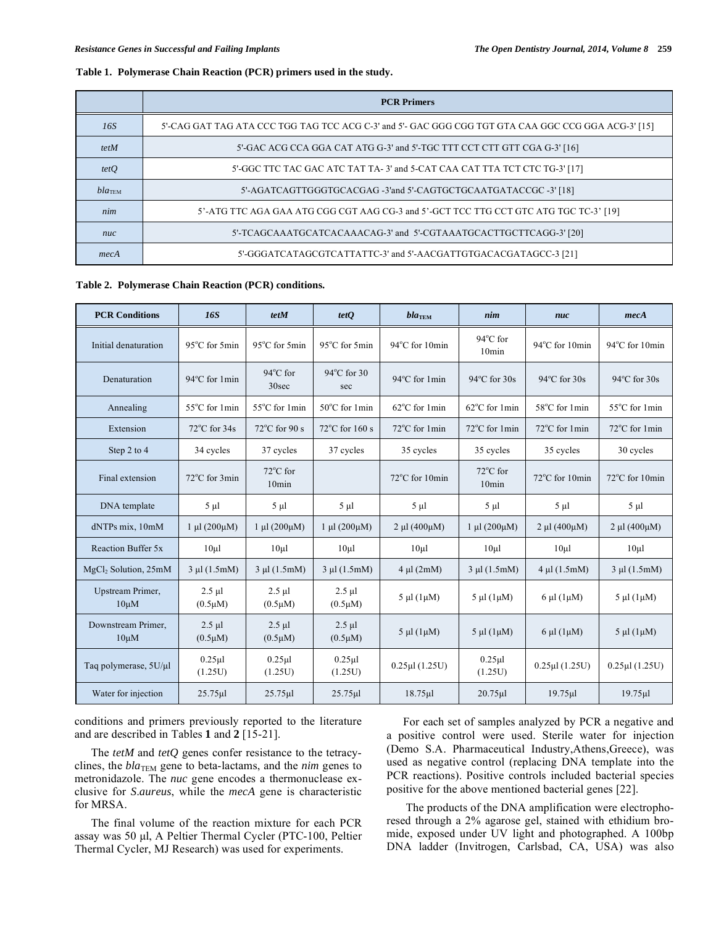# **Table 1. Polymerase Chain Reaction (PCR) primers used in the study.**

|                    | <b>PCR Primers</b>                                                                                  |
|--------------------|-----------------------------------------------------------------------------------------------------|
| 16S                | 5'-CAG GAT TAG ATA CCC TGG TAG TCC ACG C-3' and 5'- GAC GGG CGG TGT GTA CAA GGC CCG GGA ACG-3' [15] |
| tetM               | 5'-GAC ACG CCA GGA CAT ATG G-3' and 5'-TGC TTT CCT CTT GTT CGA G-3' [16]                            |
| tetQ               | 5'-GGC TTC TAC GAC ATC TAT TA-3' and 5-CAT CAA CAT TTA TCT CTC TG-3' [17]                           |
| bla <sub>TEM</sub> | 5'-AGATCAGTTGGGTGCACGAG -3'and 5'-CAGTGCTGCAATGATACCGC -3' [18]                                     |
| nim                | 5'-ATG TTC AGA GAA ATG CGG CGT AAG CG-3 and 5'-GCT TCC TTG CCT GTC ATG TGC TC-3' [19]               |
| nuc                | 5'-TCAGCAAATGCATCACAAACAG-3' and 5'-CGTAAATGCACTTGCTTCAGG-3' [20]                                   |
| mecA               | 5'-GGGATCATAGCGTCATTATTC-3' and 5'-AACGATTGTGACACGATAGCC-3 [21]                                     |

#### **Table 2. Polymerase Chain Reaction (PCR) conditions.**

| <b>PCR Conditions</b>            | <b>16S</b>                  | tetM                        | tetQ                        | $bla$ <sub>TEM</sub>  | nim                                     | nuc                            | mecA                     |
|----------------------------------|-----------------------------|-----------------------------|-----------------------------|-----------------------|-----------------------------------------|--------------------------------|--------------------------|
| Initial denaturation             | 95°C for 5min               | 95°C for 5min               | 95°C for 5min               | 94°C for 10min        | 94°C for<br>10 <sub>min</sub>           | $94^{\circ}$ C for 10min       | 94°C for 10min           |
| Denaturation                     | 94°C for 1min               | 94°C for<br>30sec           | 94°C for 30<br>sec          | 94°C for 1min         | $94^{\circ}$ C for $30s$                | 94°C for 30s                   | $94^{\circ}$ C for $30s$ |
| Annealing                        | 55°C for 1min               | 55°C for 1min               | $50^{\circ}$ C for 1 min    | 62°C for 1min         | 62°C for 1min                           | 58°C for 1min                  | 55°C for 1min            |
| Extension                        | $72^{\circ}$ C for 34s      | $72^{\circ}$ C for 90 s     | $72^{\circ}$ C for 160 s    | 72°C for 1min         | 72°C for 1min                           | 72°C for 1min                  | 72°C for 1min            |
| Step 2 to 4                      | 34 cycles                   | 37 cycles                   | 37 cycles                   | 35 cycles             | 35 cycles                               | 35 cycles                      | 30 cycles                |
| Final extension                  | 72°C for 3min               | $72^{\circ}$ C for<br>10min |                             | 72°C for 10min        | $72^{\circ}$ C for<br>10 <sub>min</sub> | 72°C for 10min                 | 72°C for 10min           |
| DNA template                     | $5 \mu l$                   | $5 \mu l$                   | $5 \mu l$                   | $5 \mu l$             | $5 \mu l$                               | $5 \mu l$                      | $5 \mu l$                |
| dNTPs mix, 10mM                  | $1 \mu l (200 \mu M)$       | $1 \mu l (200 \mu M)$       | $1 \mu l (200 \mu M)$       | $2 \mu l (400 \mu M)$ | $1 \mu l (200 \mu M)$                   | $2 \mu l (400 \mu M)$          | $2 \mu l (400 \mu M)$    |
| Reaction Buffer 5x               | $10\mu$                     | $10\mu$                     | $10\mu1$                    | $10\mu$               | $10 \mu l$                              | $10\mu$ l                      | $10\mu$ l                |
| MgCl <sub>2</sub> Solution, 25mM | $3 \mu l$ (1.5mM)           | $3 \mu l$ (1.5mM)           | $3 \mu l$ (1.5mM)           | $4 \mu l$ (2mM)       | $3 \mu l$ (1.5mM)                       | $4 \mu l$ (1.5mM)              | $3 \mu l$ (1.5mM)        |
| Upstream Primer,<br>$10 \mu M$   | $2.5 \mu l$<br>$(0.5\mu M)$ | $2.5 \mu l$<br>$(0.5\mu M)$ | $2.5 \mu l$<br>$(0.5\mu M)$ | $5 \mu l$ (1 $\mu$ M) | $5 \mu l$ (1 $\mu$ M)                   | $6 \mu l$ (1 $\mu$ M)          | $5 \mu l$ (1 $\mu$ M)    |
| Downstream Primer,<br>$10 \mu M$ | $2.5$ µl<br>$(0.5\mu M)$    | $2.5$ µl<br>$(0.5 \mu M)$   | $2.5 \mu l$<br>$(0.5\mu M)$ | $5 \mu l$ (1 $\mu$ M) | $5 \mu l$ (1 $\mu$ M)                   | $6 \mu l$ (1 $\mu$ M)          | $5 \mu l$ (1 $\mu$ M)    |
| Taq polymerase, 5U/µl            | $0.25$ µl<br>(1.25U)        | $0.25$ µl<br>(1.25U)        | $0.25 \mu$ l<br>(1.25U)     | $0.25 \mu l$ (1.25U)  | $0.25 \mu$<br>(1.25U)                   | $0.25 \mu$ l $(1.25 \text{U})$ | $0.25$ ul $(1.25U)$      |
| Water for injection              | $25.75 \mu$ l               | $25.75 \mu$                 | $25.75 \mu$ l               | $18.75 \mu$           | $20.75 \mu$                             | $19.75 \mu$                    | $19.75 \mu$              |

conditions and primers previously reported to the literature and are described in Tables **1** and **2** [15-21].

The *tetM* and *tetQ* genes confer resistance to the tetracyclines, the *bla*TEM gene to beta-lactams, and the *nim* genes to metronidazole. The *nuc* gene encodes a thermonuclease exclusive for *S*.*aureus*, while the *mecA* gene is characteristic for MRSA.

The final volume of the reaction mixture for each PCR assay was 50 μl, A Peltier Thermal Cycler (PTC-100, Peltier Thermal Cycler, MJ Research) was used for experiments.

For each set of samples analyzed by PCR a negative and a positive control were used. Sterile water for injection (Demo S.A. Pharmaceutical Industry,Athens,Greece), was used as negative control (replacing DNA template into the PCR reactions). Positive controls included bacterial species positive for the above mentioned bacterial genes [22].

 The products of the DNA amplification were electrophoresed through a 2% agarose gel, stained with ethidium bromide, exposed under UV light and photographed. A 100bp DNA ladder (Invitrogen, Carlsbad, CA, USA) was also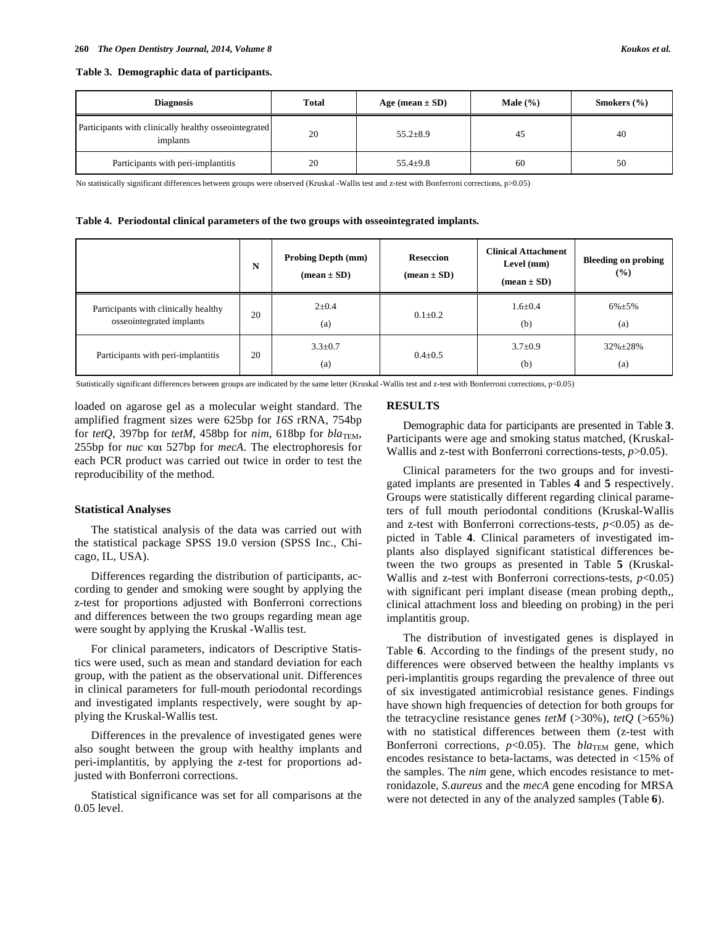**Table 3. Demographic data of participants.** 

| <b>Diagnosis</b>                                                 | Total | Age (mean $\pm$ SD) | Male $(\% )$ | Smokers $(\% )$ |
|------------------------------------------------------------------|-------|---------------------|--------------|-----------------|
| Participants with clinically healthy osseointegrated<br>implants | 20    | $55.2 \pm 8.9$      | 45           | 40              |
| Participants with peri-implantitis                               | 20    | $55.4 + 9.8$        | 60           | 50              |

No statistically significant differences between groups were observed (Kruskal -Wallis test and z-test with Bonferroni corrections, p>0.05)

**Table 4. Periodontal clinical parameters of the two groups with osseointegrated implants.** 

|                                                                  | N  | <b>Probing Depth (mm)</b><br>$(\text{mean} \pm \text{SD})$ | <b>Reseccion</b><br>$mean \pm SD$ | <b>Clinical Attachment</b><br>Level (mm)<br>$(\text{mean} \pm \text{SD})$ | <b>Bleeding on probing</b><br>(%) |
|------------------------------------------------------------------|----|------------------------------------------------------------|-----------------------------------|---------------------------------------------------------------------------|-----------------------------------|
| Participants with clinically healthy<br>osseointegrated implants | 20 | $2 \pm 0.4$<br>(a)                                         | $0.1 \pm 0.2$                     | $1.6 \pm 0.4$<br>(b)                                                      | $6\% + 5\%$<br>(a)                |
| Participants with peri-implantitis                               | 20 | $3.3 \pm 0.7$<br>(a)                                       | $0.4 \pm 0.5$                     | $3.7 \pm 0.9$<br>(b)                                                      | $32\% \pm 28\%$<br>(a)            |

Statistically significant differences between groups are indicated by the same letter (Kruskal -Wallis test and z-test with Bonferroni corrections, p<0.05)

loaded on agarose gel as a molecular weight standard. The amplified fragment sizes were 625bp for *16S* rRNA, 754bp for  $tetQ$ , 397bp for  $tetM$ , 458bp for  $nim$ , 618bp for  $bla_{TEM}$ , 255bp for *nuc*  $\kappa \alpha$  527bp for *mecA*. The electrophoresis for each PCR product was carried out twice in order to test the reproducibility of the method.

### **Statistical Analyses**

The statistical analysis of the data was carried out with the statistical package SPSS 19.0 version (SPSS Inc., Chicago, IL, USA).

Differences regarding the distribution of participants, according to gender and smoking were sought by applying the z-test for proportions adjusted with Bonferroni corrections and differences between the two groups regarding mean age were sought by applying the Kruskal -Wallis test.

For clinical parameters, indicators of Descriptive Statistics were used, such as mean and standard deviation for each group, with the patient as the observational unit. Differences in clinical parameters for full-mouth periodontal recordings and investigated implants respectively, were sought by applying the Kruskal-Wallis test.

Differences in the prevalence of investigated genes were also sought between the group with healthy implants and peri-implantitis, by applying the *z*-test for proportions adjusted with Bonferroni corrections.

Statistical significance was set for all comparisons at the 0.05 level.

# **RESULTS**

Demographic data for participants are presented in Table **3**. Participants were age and smoking status matched, (Kruskal-Wallis and z-test with Bonferroni corrections-tests, *p*>0.05).

Clinical parameters for the two groups and for investigated implants are presented in Tables **4** and **5** respectively. Groups were statistically different regarding clinical parameters of full mouth periodontal conditions (Kruskal-Wallis and z-test with Bonferroni corrections-tests, *p*<0.05) as depicted in Table **4**. Clinical parameters of investigated implants also displayed significant statistical differences between the two groups as presented in Table **5** (Kruskal-Wallis and z-test with Bonferroni corrections-tests, *p*<0.05) with significant peri implant disease (mean probing depth,, clinical attachment loss and bleeding on probing) in the peri implantitis group.

The distribution of investigated genes is displayed in Table **6**. According to the findings of the present study, no differences were observed between the healthy implants vs peri-implantitis groups regarding the prevalence of three out of six investigated antimicrobial resistance genes. Findings have shown high frequencies of detection for both groups for the tetracycline resistance genes *tetM*  $(\geq 30\%)$ , *tetQ*  $(\geq 65\%)$ with no statistical differences between them (z-test with Bonferroni corrections, *p*<0.05). The *bla*<sub>TEM</sub> gene, which encodes resistance to beta-lactams, was detected in <15% of the samples. The *nim* gene, which encodes resistance to metronidazole, *S.aureus* and the *mecA* gene encoding for MRSA were not detected in any of the analyzed samples (Table **6**).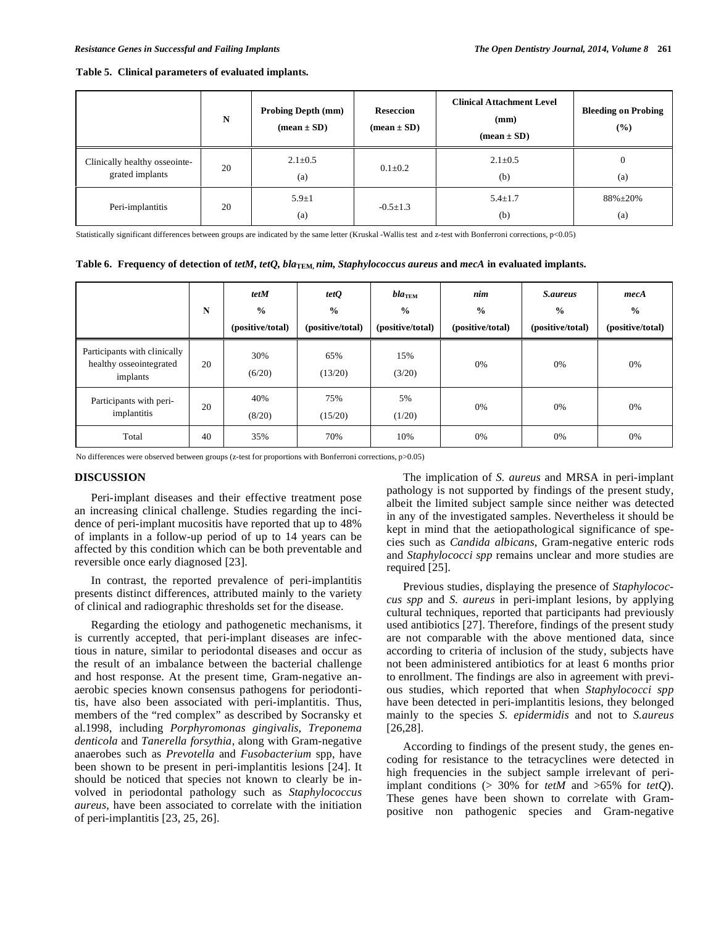| Table 5. Clinical parameters of evaluated implants. |  |  |  |  |  |  |
|-----------------------------------------------------|--|--|--|--|--|--|
|-----------------------------------------------------|--|--|--|--|--|--|

|                                                  | N  | <b>Probing Depth (mm)</b><br>$(\text{mean} \pm \text{SD})$ | <b>Reseccion</b><br>$(\text{mean} \pm \text{SD})$ | <b>Clinical Attachment Level</b><br>(mm)<br>$(\text{mean} \pm \text{SD})$ | <b>Bleeding on Probing</b><br>(%) |
|--------------------------------------------------|----|------------------------------------------------------------|---------------------------------------------------|---------------------------------------------------------------------------|-----------------------------------|
| Clinically healthy osseointe-<br>grated implants | 20 | $2.1 \pm 0.5$<br>(a)                                       | $0.1 \pm 0.2$                                     | $2.1 \pm 0.5$<br>(b)                                                      | $\overline{0}$<br>(a)             |
| Peri-implantitis                                 | 20 | $5.9 + 1$<br>(a)                                           | $-0.5 \pm 1.3$                                    | $5.4 \pm 1.7$<br>(b)                                                      | $88\% \pm 20\%$<br>(a)            |

Statistically significant differences between groups are indicated by the same letter (Kruskal -Wallis test and z-test with Bonferroni corrections, p<0.05)

|  |  |  |  |  | Table 6. Frequency of detection of tetM, tetQ, bla <sub>TEM</sub> nim, Staphylococcus aureus and mecA in evaluated implants. |
|--|--|--|--|--|------------------------------------------------------------------------------------------------------------------------------|
|--|--|--|--|--|------------------------------------------------------------------------------------------------------------------------------|

|                                                                     | N  | tetM<br>$\frac{0}{0}$<br>(positive/total) | tetQ<br>$\frac{0}{0}$<br>(positive/total) | $bla$ TEM<br>$\frac{0}{0}$<br>(positive/total) | nim<br>$\frac{0}{0}$<br>(positive/total) | <i>S.aureus</i><br>$\frac{0}{0}$<br>(positive/total) | mecA<br>$\frac{0}{0}$<br>(positive/total) |
|---------------------------------------------------------------------|----|-------------------------------------------|-------------------------------------------|------------------------------------------------|------------------------------------------|------------------------------------------------------|-------------------------------------------|
| Participants with clinically<br>healthy osseointegrated<br>implants | 20 | 30%<br>(6/20)                             | 65%<br>(13/20)                            | 15%<br>(3/20)                                  | 0%                                       | 0%                                                   | 0%                                        |
| Participants with peri-<br>implantitis                              | 20 | 40%<br>(8/20)                             | 75%<br>(15/20)                            | 5%<br>(1/20)                                   | 0%                                       | 0%                                                   | 0%                                        |
| Total                                                               | 40 | 35%                                       | 70%                                       | 10%                                            | 0%                                       | 0%                                                   | 0%                                        |

No differences were observed between groups (z-test for proportions with Bonferroni corrections, p>0.05)

# **DISCUSSION**

Peri-implant diseases and their effective treatment pose an increasing clinical challenge. Studies regarding the incidence of peri-implant mucositis have reported that up to 48% of implants in a follow-up period of up to 14 years can be affected by this condition which can be both preventable and reversible once early diagnosed [23].

In contrast, the reported prevalence of peri-implantitis presents distinct differences, attributed mainly to the variety of clinical and radiographic thresholds set for the disease.

Regarding the etiology and pathogenetic mechanisms, it is currently accepted, that peri-implant diseases are infectious in nature, similar to periodontal diseases and occur as the result of an imbalance between the bacterial challenge and host response. At the present time, Gram-negative anaerobic species known consensus pathogens for periodontitis, have also been associated with peri-implantitis. Thus, members of the "red complex" as described by Socransky et al.1998, including *Porphyromonas gingivalis*, *Treponema denticola* and *Tanerella forsythia*, along with Gram-negative anaerobes such as *Prevotella* and *Fusobacterium* spp, have been shown to be present in peri-implantitis lesions [24]. It should be noticed that species not known to clearly be involved in periodontal pathology such as *Staphylococcus aureus*, have been associated to correlate with the initiation of peri-implantitis [23, 25, 26].

The implication of *S. aureus* and MRSA in peri-implant pathology is not supported by findings of the present study, albeit the limited subject sample since neither was detected in any of the investigated samples. Nevertheless it should be kept in mind that the aetiopathological significance of species such as *Candida albicans*, Gram-negative enteric rods and *Staphylococci spp* remains unclear and more studies are required [25].

Previous studies, displaying the presence of *Staphylococcus spp* and *S. aureus* in peri-implant lesions, by applying cultural techniques, reported that participants had previously used antibiotics [27]. Therefore, findings of the present study are not comparable with the above mentioned data, since according to criteria of inclusion of the study, subjects have not been administered antibiotics for at least 6 months prior to enrollment. The findings are also in agreement with previous studies, which reported that when *Staphylococci spp* have been detected in peri-implantitis lesions, they belonged mainly to the species *S. epidermidis* and not to *S.aureus*  [26,28].

According to findings of the present study, the genes encoding for resistance to the tetracyclines were detected in high frequencies in the subject sample irrelevant of periimplant conditions (> 30% for *tetM* and >65% for *tetQ*). These genes have been shown to correlate with Grampositive non pathogenic species and Gram-negative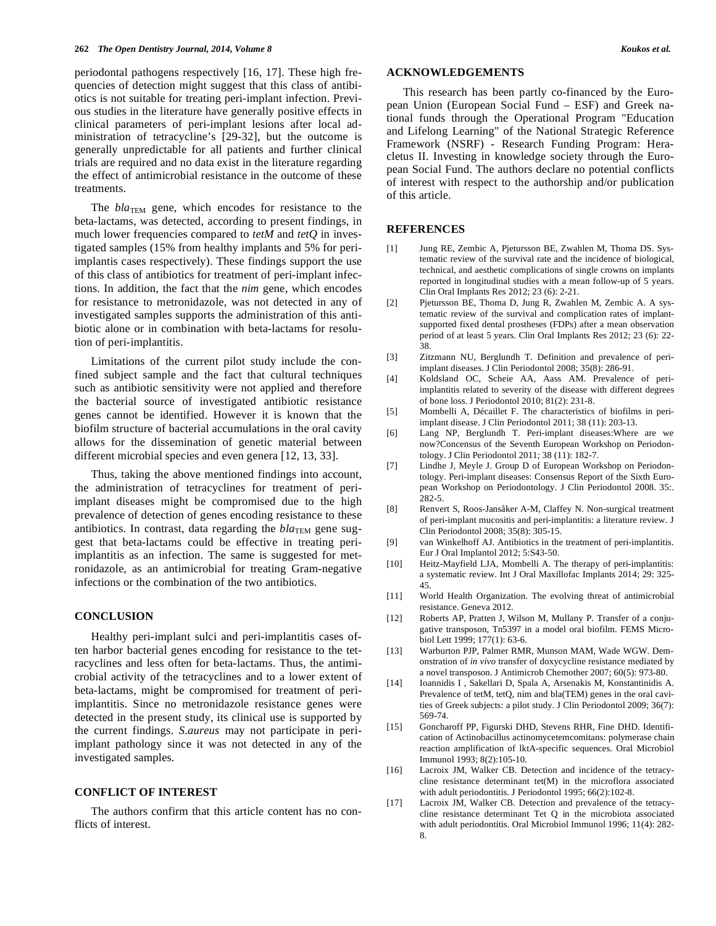periodontal pathogens respectively [16, 17]. These high frequencies of detection might suggest that this class of antibiotics is not suitable for treating peri-implant infection. Previous studies in the literature have generally positive effects in clinical parameters of peri-implant lesions after local administration of tetracycline's [29-32], but the outcome is generally unpredictable for all patients and further clinical trials are required and no data exist in the literature regarding the effect of antimicrobial resistance in the outcome of these treatments.

The *bla*<sub>TEM</sub> gene, which encodes for resistance to the beta-lactams, was detected, according to present findings, in much lower frequencies compared to *tetM* and *tetQ* in investigated samples (15% from healthy implants and 5% for periimplantis cases respectively). These findings support the use of this class of antibiotics for treatment of peri-implant infections. In addition, the fact that the *nim* gene, which encodes for resistance to metronidazole, was not detected in any of investigated samples supports the administration of this antibiotic alone or in combination with beta-lactams for resolution of peri-implantitis.

Limitations of the current pilot study include the confined subject sample and the fact that cultural techniques such as antibiotic sensitivity were not applied and therefore the bacterial source of investigated antibiotic resistance genes cannot be identified. However it is known that the biofilm structure of bacterial accumulations in the oral cavity allows for the dissemination of genetic material between different microbial species and even genera [12, 13, 33].

Thus, taking the above mentioned findings into account, the administration of tetracyclines for treatment of periimplant diseases might be compromised due to the high prevalence of detection of genes encoding resistance to these antibiotics. In contrast, data regarding the  $bla_{\text{TEM}}$  gene suggest that beta-lactams could be effective in treating periimplantitis as an infection. The same is suggested for metronidazole, as an antimicrobial for treating Gram-negative infections or the combination of the two antibiotics.

# **CONCLUSION**

Healthy peri-implant sulci and peri-implantitis cases often harbor bacterial genes encoding for resistance to the tetracyclines and less often for beta-lactams. Thus, the antimicrobial activity of the tetracyclines and to a lower extent of beta-lactams, might be compromised for treatment of periimplantitis. Since no metronidazole resistance genes were detected in the present study, its clinical use is supported by the current findings. *S.aureus* may not participate in periimplant pathology since it was not detected in any of the investigated samples.

# **CONFLICT OF INTEREST**

The authors confirm that this article content has no conflicts of interest.

# **ACKNOWLEDGEMENTS**

This research has been partly co-financed by the European Union (European Social Fund – ESF) and Greek national funds through the Operational Program "Education and Lifelong Learning" of the National Strategic Reference Framework (NSRF) - Research Funding Program: Heracletus II. Investing in knowledge society through the European Social Fund. The authors declare no potential conflicts of interest with respect to the authorship and/or publication of this article.

# **REFERENCES**

- [1] Jung RE, Zembic A, Pjetursson BE, Zwahlen M, Thoma DS. Systematic review of the survival rate and the incidence of biological, technical, and aesthetic complications of single crowns on implants reported in longitudinal studies with a mean follow-up of 5 years. Clin Oral Implants Res 2012; 23 (6): 2-21.
- [2] Pjetursson BE, Thoma D, Jung R, Zwahlen M, Zembic A. A systematic review of the survival and complication rates of implantsupported fixed dental prostheses (FDPs) after a mean observation period of at least 5 years. Clin Oral Implants Res 2012; 23 (6): 22- 38.
- [3] Zitzmann NU, Berglundh T. Definition and prevalence of periimplant diseases. J Clin Periodontol 2008; 35(8): 286-91.
- [4] Koldsland OC, Scheie AA, Aass AM. Prevalence of periimplantitis related to severity of the disease with different degrees of bone loss. J Periodontol 2010; 81(2): 231-8.
- [5] Mombelli A, Décaillet F. The characteristics of biofilms in periimplant disease. J Clin Periodontol 2011; 38 (11): 203-13.
- [6] Lang NP, Berglundh T. Peri-implant diseases:Where are we now?Concensus of the Seventh European Workshop on Periodontology. J Clin Periodontol 2011; 38 (11): 182-7.
- [7] Lindhe J, Meyle J. Group D of European Workshop on Periodontology. Peri-implant diseases: Consensus Report of the Sixth European Workshop on Periodontology. J Clin Periodontol 2008. 35:. 282-5.
- [8] Renvert S, Roos-Jansåker A-M, Claffey N. Non-surgical treatment of peri-implant mucositis and peri-implantitis: a literature review. J Clin Periodontol 2008; 35(8): 305-15.
- [9] van Winkelhoff AJ. Antibiotics in the treatment of peri-implantitis. Eur J Oral Implantol 2012; 5:S43-50.
- [10] Heitz-Mayfield LJA, Mombelli A. The therapy of peri-implantitis: a systematic review. Int J Oral Maxillofac Implants 2014; 29: 325- 45.
- [11] World Health Organization. The evolving threat of antimicrobial resistance. Geneva 2012.
- [12] Roberts AP, Pratten J, Wilson M, Mullany P. Transfer of a conjugative transposon, Tn5397 in a model oral biofilm. FEMS Microbiol Lett 1999; 177(1): 63-6.
- [13] Warburton PJP, Palmer RMR, Munson MAM, Wade WGW. Demonstration of *in vivo* transfer of doxycycline resistance mediated by a novel transposon. J Antimicrob Chemother 2007; 60(5): 973-80.
- [14] Ioannidis I , Sakellari D, Spala A, Arsenakis M, Konstantinidis A. Prevalence of tetM, tetQ, nim and bla(TEM) genes in the oral cavities of Greek subjects: a pilot study. J Clin Periodontol 2009; 36(7): 569-74.
- [15] Goncharoff PP, Figurski DHD, Stevens RHR, Fine DHD. Identification of Actinobacillus actinomycetemcomitans: polymerase chain reaction amplification of lktA-specific sequences. Oral Microbiol Immunol 1993; 8(2):105-10.
- [16] Lacroix JM, Walker CB. Detection and incidence of the tetracycline resistance determinant tet(M) in the microflora associated with adult periodontitis. J Periodontol 1995; 66(2):102-8.
- [17] Lacroix JM, Walker CB. Detection and prevalence of the tetracycline resistance determinant Tet Q in the microbiota associated with adult periodontitis. Oral Microbiol Immunol 1996; 11(4): 282- 8.